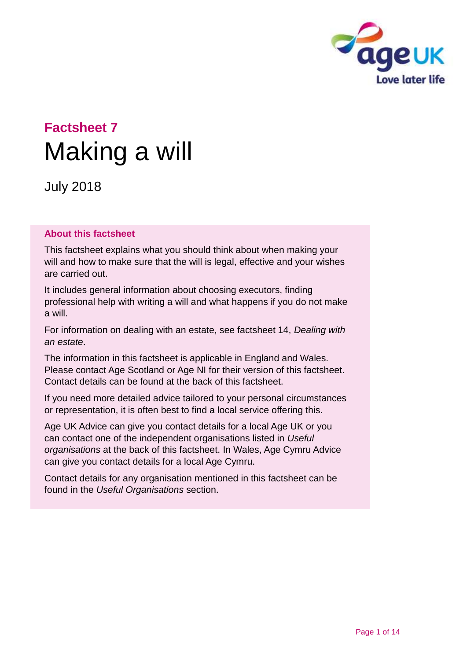

# **Factsheet 7** Making a will

July 2018

#### **About this factsheet**

This factsheet explains what you should think about when making your will and how to make sure that the will is legal, effective and your wishes are carried out.

It includes general information about choosing executors, finding professional help with writing a will and what happens if you do not make a will.

For information on dealing with an estate, see factsheet 14, *[Dealing with](https://www.ageuk.org.uk/globalassets/age-uk/documents/factsheets/fs14_dealing_with_an_estate_fcs.pdf?dtrk=true)  [an estate](https://www.ageuk.org.uk/globalassets/age-uk/documents/factsheets/fs14_dealing_with_an_estate_fcs.pdf?dtrk=true)*.

The information in this factsheet is applicable in England and Wales. Please contact [Age Scotland](#page-12-0) or [Age NI](#page-12-1) for their version of this factsheet. Contact details can be found at the back of this factsheet.

If you need more detailed advice tailored to your personal circumstances or representation, it is often best to find a local service offering this.

[Age UK Advice](#page-12-2) can give you contact details for a local Age UK or you can contact one of the independent organisations listed in *[Useful](#page-10-0)  [organisations](#page-10-0)* at the back of this factsheet. In Wales, Age Cymru Advice can give you contact details for a local Age Cymru.

Contact details for any organisation mentioned in this factsheet can be found in the *[Useful Organisations](#page-10-0)* section.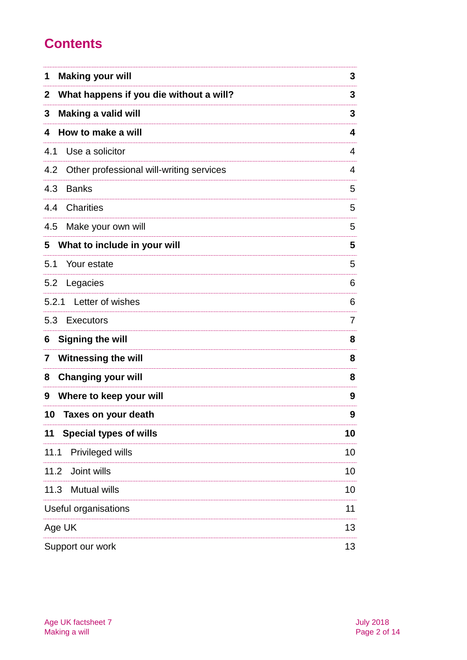# **Contents**

| <b>Making your will</b><br>1                            | 3              |
|---------------------------------------------------------|----------------|
| What happens if you die without a will?<br>$\mathbf{2}$ | 3              |
| <b>Making a valid will</b><br>3                         | 3              |
| How to make a will<br>4                                 | 4              |
| 4.1<br>Use a solicitor                                  | 4              |
| Other professional will-writing services<br>4.2         | 4              |
| 4.3<br><b>Banks</b>                                     | 5              |
| <b>Charities</b><br>4.4                                 | 5              |
| 4.5<br>Make your own will                               | 5              |
| What to include in your will<br>5                       | 5              |
| 5.1<br>Your estate                                      | 5              |
| 5.2<br>Legacies                                         | 6              |
| 5.2.1 Letter of wishes                                  | 6              |
| 5.3 Executors                                           | $\overline{7}$ |
| <b>Signing the will</b><br>6                            | 8              |
| <b>Witnessing the will</b><br>7                         | 8              |
| <b>Changing your will</b><br>8                          | 8              |
| Where to keep your will<br>9                            | 9              |
| 10 <sup>1</sup><br>Taxes on your death                  | 9              |
| <b>Special types of wills</b><br>11                     | 10             |
| Privileged wills<br>11.1                                | 10             |
| Joint wills<br>11.2                                     | 10             |
| <b>Mutual wills</b><br>11.3                             | 10             |
| Useful organisations                                    | 11             |
| Age UK                                                  | 13             |
| Support our work                                        | 13             |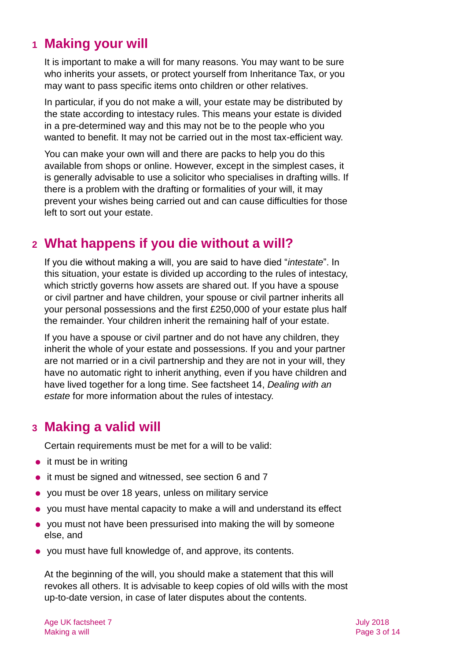### <span id="page-2-0"></span>**1 Making your will**

It is important to make a will for many reasons. You may want to be sure who inherits your assets, or protect yourself from Inheritance Tax, or you may want to pass specific items onto children or other relatives.

In particular, if you do not make a will, your estate may be distributed by the state according to intestacy rules. This means your estate is divided in a pre-determined way and this may not be to the people who you wanted to benefit. It may not be carried out in the most tax-efficient way.

You can make your own will and there are packs to help you do this available from shops or online. However, except in the simplest cases, it is generally advisable to use a solicitor who specialises in drafting wills. If there is a problem with the drafting or formalities of your will, it may prevent your wishes being carried out and can cause difficulties for those left to sort out your estate.

### <span id="page-2-1"></span>**2 What happens if you die without a will?**

If you die without making a will, you are said to have died "*intestate*". In this situation, your estate is divided up according to the rules of intestacy, which strictly governs how assets are shared out. If you have a spouse or civil partner and have children, your spouse or civil partner inherits all your personal possessions and the first £250,000 of your estate plus half the remainder. Your children inherit the remaining half of your estate.

If you have a spouse or civil partner and do not have any children, they inherit the whole of your estate and possessions. If you and your partner are not married or in a civil partnership and they are not in your will, they have no automatic right to inherit anything, even if you have children and have lived together for a long time. See factsheet 14, *[Dealing with an](http://www.ageuk.org.uk/Documents/EN-GB/Factsheets/FS14_Dealing_with_an_estate_fcs.pdf?dtrk=true)  [estate](http://www.ageuk.org.uk/Documents/EN-GB/Factsheets/FS14_Dealing_with_an_estate_fcs.pdf?dtrk=true)* for more information about the rules of intestacy.

### <span id="page-2-2"></span>**3 Making a valid will**

Certain requirements must be met for a will to be valid:

- it must be in writing
- it must be signed and witnessed, see section [6](#page-7-0) and [7](#page-7-1)
- you must be over 18 years, unless on military service
- you must have mental capacity to make a will and understand its effect
- you must not have been pressurised into making the will by someone else, and
- you must have full knowledge of, and approve, its contents.

At the beginning of the will, you should make a statement that this will revokes all others. It is advisable to keep copies of old wills with the most up-to-date version, in case of later disputes about the contents.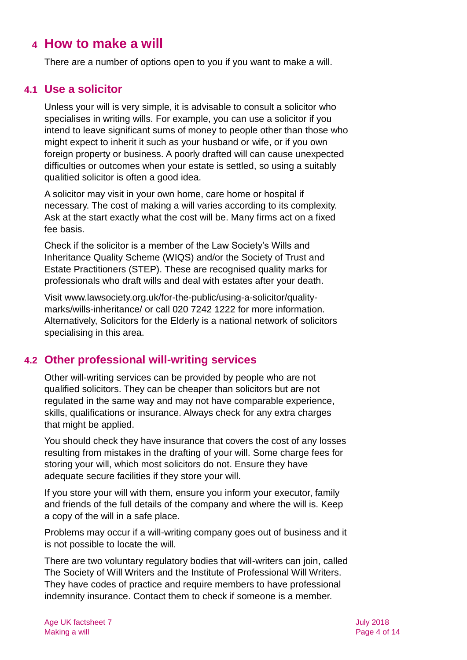### <span id="page-3-0"></span>**4 How to make a will**

There are a number of options open to you if you want to make a will.

#### **4.1 Use a solicitor**

Unless your will is very simple, it is advisable to consult a solicitor who specialises in writing wills. For example, you can use a solicitor if you intend to leave significant sums of money to people other than those who might expect to inherit it such as your husband or wife, or if you own foreign property or business. A poorly drafted will can cause unexpected difficulties or outcomes when your estate is settled, so using a suitably qualitied solicitor is often a good idea.

A solicitor may visit in your own home, care home or hospital if necessary. The cost of making a will varies according to its complexity. Ask at the start exactly what the cost will be. Many firms act on a fixed fee basis.

Check if the solicitor is a member of the Law Society's Wills and Inheritance Quality Scheme (WIQS) and/or the Society of Trust and Estate Practitioners (STEP). These are recognised quality marks for professionals who draft wills and deal with estates after your death.

Visit [www.lawsociety.org.uk/for-the-public/using-a-solicitor/quality](http://www.lawsociety.org.uk/for-the-public/using-a-solicitor/quality-marks/wills-inheritance/)[marks/wills-inheritance/](http://www.lawsociety.org.uk/for-the-public/using-a-solicitor/quality-marks/wills-inheritance/) or call 020 7242 1222 for more information. Alternatively, [Solicitors for the Elderly](https://sfe.legal/) is a national network of solicitors specialising in this area.

#### **4.2 Other professional will-writing services**

Other will-writing services can be provided by people who are not qualified solicitors. They can be cheaper than solicitors but are not regulated in the same way and may not have comparable experience, skills, qualifications or insurance. Always check for any extra charges that might be applied.

You should check they have insurance that covers the cost of any losses resulting from mistakes in the drafting of your will. Some charge fees for storing your will, which most solicitors do not. Ensure they have adequate secure facilities if they store your will.

If you store your will with them, ensure you inform your executor, family and friends of the full details of the company and where the will is. Keep a copy of the will in a safe place.

Problems may occur if a will-writing company goes out of business and it is not possible to locate the will.

There are two voluntary regulatory bodies that will-writers can join, called The Society of Will Writers and the Institute of Professional Will Writers. They have codes of practice and require members to have professional indemnity insurance. Contact them to check if someone is a member.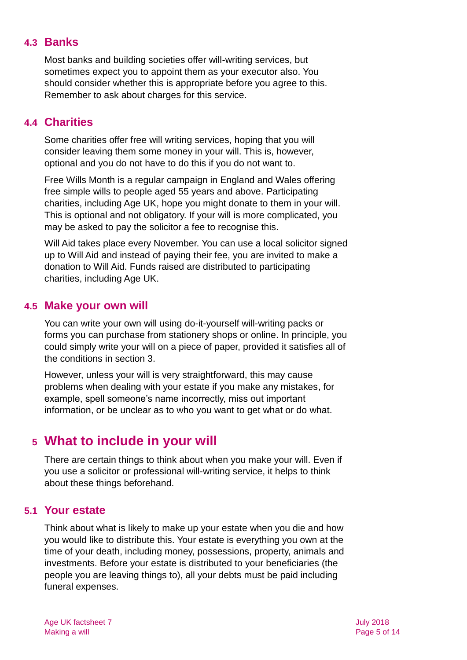#### **4.3 Banks**

Most banks and building societies offer will-writing services, but sometimes expect you to appoint them as your executor also. You should consider whether this is appropriate before you agree to this. Remember to ask about charges for this service.

#### **4.4 Charities**

Some charities offer free will writing services, hoping that you will consider leaving them some money in your will. This is, however, optional and you do not have to do this if you do not want to.

[Free Wills Month](https://freewillsmonth.org.uk/) is a regular campaign in England and Wales offering free simple wills to people aged 55 years and above. Participating charities, including Age UK, hope you might donate to them in your will. This is optional and not obligatory. If your will is more complicated, you may be asked to pay the solicitor a fee to recognise this.

[Will Aid](http://www.willaid.org.uk/) takes place every November. You can use a local solicitor signed up to Will Aid and instead of paying their fee, you are invited to make a donation to Will [Aid.](https://www.willaid.org.uk/) Funds raised are distributed to participating charities, including Age UK.

#### **4.5 Make your own will**

You can write your own will using do-it-yourself will-writing packs or forms you can purchase from stationery shops or online. In principle, you could simply write your will on a piece of paper, provided it satisfies all of the conditions in [section 3.](#page-2-2)

However, unless your will is very straightforward, this may cause problems when dealing with your estate if you make any mistakes, for example, spell someone's name incorrectly, miss out important information, or be unclear as to who you want to get what or do what.

### <span id="page-4-0"></span>**5 What to include in your will**

There are certain things to think about when you make your will. Even if you use a solicitor or professional will-writing service, it helps to think about these things beforehand.

#### **5.1 Your estate**

Think about what is likely to make up your estate when you die and how you would like to distribute this. Your estate is everything you own at the time of your death, including money, possessions, property, animals and investments. Before your estate is distributed to your beneficiaries (the people you are leaving things to), all your debts must be paid including funeral expenses.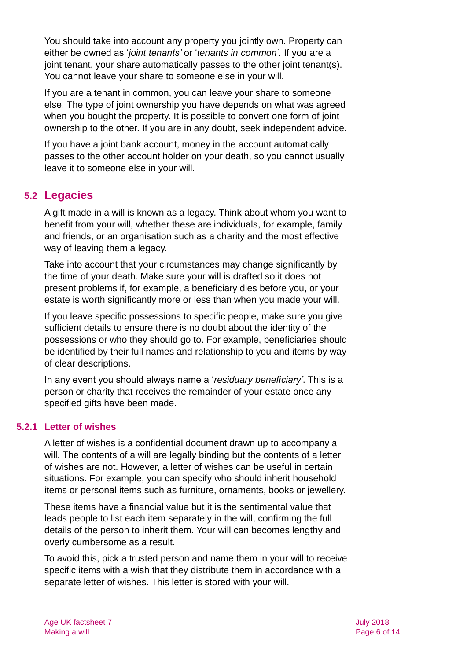You should take into account any property you jointly own. Property can either be owned as '*joint tenants'* or '*tenants in common'*. If you are a joint tenant, your share automatically passes to the other joint tenant(s). You cannot leave your share to someone else in your will.

If you are a tenant in common, you can leave your share to someone else. The type of joint ownership you have depends on what was agreed when you bought the property. It is possible to convert one form of joint ownership to the other. If you are in any doubt, seek independent advice.

If you have a joint bank account, money in the account automatically passes to the other account holder on your death, so you cannot usually leave it to someone else in your will.

#### **5.2 Legacies**

A gift made in a will is known as a legacy. Think about whom you want to benefit from your will, whether these are individuals, for example, family and friends, or an organisation such as a charity and the most effective way of leaving them a legacy.

Take into account that your circumstances may change significantly by the time of your death. Make sure your will is drafted so it does not present problems if, for example, a beneficiary dies before you, or your estate is worth significantly more or less than when you made your will.

If you leave specific possessions to specific people, make sure you give sufficient details to ensure there is no doubt about the identity of the possessions or who they should go to. For example, beneficiaries should be identified by their full names and relationship to you and items by way of clear descriptions.

In any event you should always name a '*residuary beneficiary'*. This is a person or charity that receives the remainder of your estate once any specified gifts have been made.

#### **5.2.1 Letter of wishes**

A letter of wishes is a confidential document drawn up to accompany a will. The contents of a will are legally binding but the contents of a letter of wishes are not. However, a letter of wishes can be useful in certain situations. For example, you can specify who should inherit household items or personal items such as furniture, ornaments, books or jewellery.

These items have a financial value but it is the sentimental value that leads people to list each item separately in the will, confirming the full details of the person to inherit them. Your will can becomes lengthy and overly cumbersome as a result.

To avoid this, pick a trusted person and name them in your will to receive specific items with a wish that they distribute them in accordance with a separate letter of wishes. This letter is stored with your will.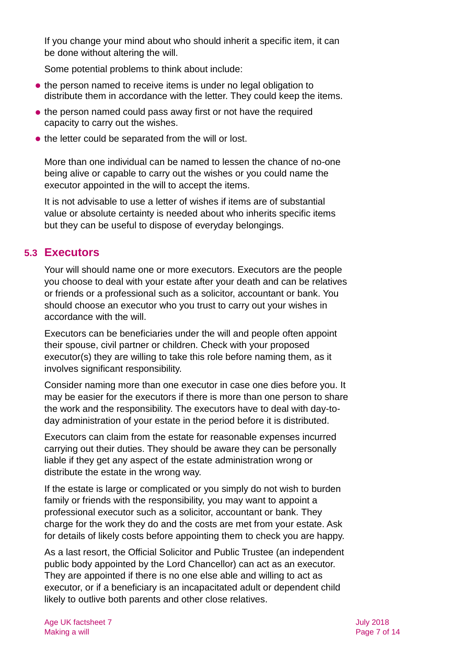If you change your mind about who should inherit a specific item, it can be done without altering the will.

Some potential problems to think about include:

- the person named to receive items is under no legal obligation to distribute them in accordance with the letter. They could keep the items.
- the person named could pass away first or not have the required capacity to carry out the wishes.
- the letter could be separated from the will or lost.

More than one individual can be named to lessen the chance of no-one being alive or capable to carry out the wishes or you could name the executor appointed in the will to accept the items.

It is not advisable to use a letter of wishes if items are of substantial value or absolute certainty is needed about who inherits specific items but they can be useful to dispose of everyday belongings.

#### **5.3 Executors**

Your will should name one or more executors. Executors are the people you choose to deal with your estate after your death and can be relatives or friends or a professional such as a solicitor, accountant or bank. You should choose an executor who you trust to carry out your wishes in accordance with the will.

Executors can be beneficiaries under the will and people often appoint their spouse, civil partner or children. Check with your proposed executor(s) they are willing to take this role before naming them, as it involves significant responsibility.

Consider naming more than one executor in case one dies before you. It may be easier for the executors if there is more than one person to share the work and the responsibility. The executors have to deal with day-today administration of your estate in the period before it is distributed.

Executors can claim from the estate for reasonable expenses incurred carrying out their duties. They should be aware they can be personally liable if they get any aspect of the estate administration wrong or distribute the estate in the wrong way.

If the estate is large or complicated or you simply do not wish to burden family or friends with the responsibility, you may want to appoint a professional executor such as a solicitor, accountant or bank. They charge for the work they do and the costs are met from your estate. Ask for details of likely costs before appointing them to check you are happy.

As a last resort, the Official Solicitor and Public Trustee (an independent public body appointed by the Lord Chancellor) can act as an executor. They are appointed if there is no one else able and willing to act as executor, or if a beneficiary is an incapacitated adult or dependent child likely to outlive both parents and other close relatives.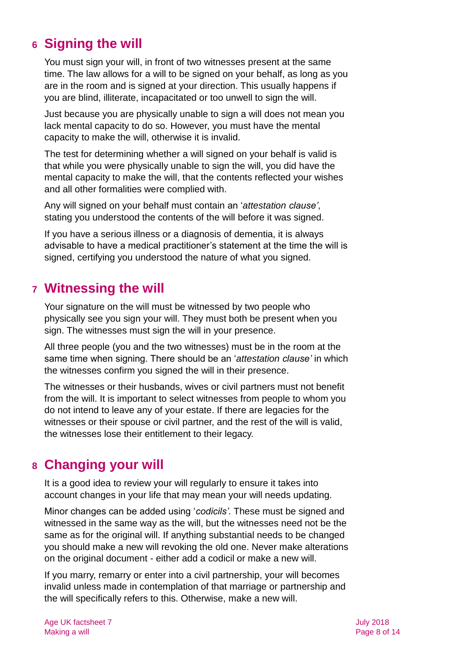## <span id="page-7-0"></span>**6 Signing the will**

You must sign your will, in front of two witnesses present at the same time. The law allows for a will to be signed on your behalf, as long as you are in the room and is signed at your direction. This usually happens if you are blind, illiterate, incapacitated or too unwell to sign the will.

Just because you are physically unable to sign a will does not mean you lack mental capacity to do so. However, you must have the mental capacity to make the will, otherwise it is invalid.

The test for determining whether a will signed on your behalf is valid is that while you were physically unable to sign the will, you did have the mental capacity to make the will, that the contents reflected your wishes and all other formalities were complied with.

Any will signed on your behalf must contain an '*attestation clause'*, stating you understood the contents of the will before it was signed.

If you have a serious illness or a diagnosis of dementia, it is always advisable to have a medical practitioner's statement at the time the will is signed, certifying you understood the nature of what you signed.

### <span id="page-7-1"></span>**7 Witnessing the will**

Your signature on the will must be witnessed by two people who physically see you sign your will. They must both be present when you sign. The witnesses must sign the will in your presence.

All three people (you and the two witnesses) must be in the room at the same time when signing. There should be an '*attestation clause'* in which the witnesses confirm you signed the will in their presence.

The witnesses or their husbands, wives or civil partners must not benefit from the will. It is important to select witnesses from people to whom you do not intend to leave any of your estate. If there are legacies for the witnesses or their spouse or civil partner, and the rest of the will is valid, the witnesses lose their entitlement to their legacy.

### <span id="page-7-2"></span>**8 Changing your will**

It is a good idea to review your will regularly to ensure it takes into account changes in your life that may mean your will needs updating.

Minor changes can be added using '*codicils'*. These must be signed and witnessed in the same way as the will, but the witnesses need not be the same as for the original will. If anything substantial needs to be changed you should make a new will revoking the old one. Never make alterations on the original document - either add a codicil or make a new will.

If you marry, remarry or enter into a civil partnership, your will becomes invalid unless made in contemplation of that marriage or partnership and the will specifically refers to this. Otherwise, make a new will.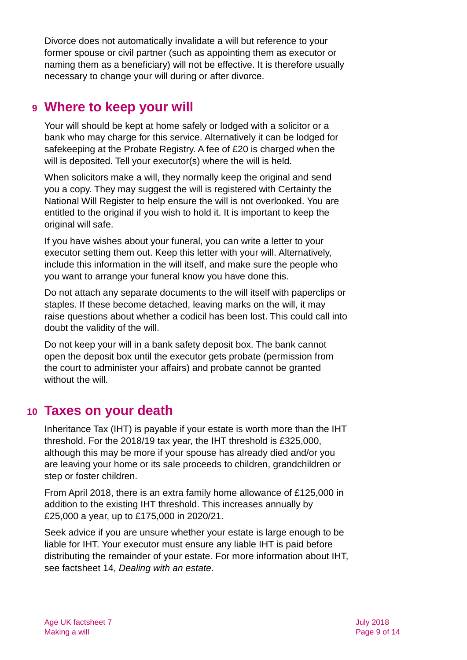Divorce does not automatically invalidate a will but reference to your former spouse or civil partner (such as appointing them as executor or naming them as a beneficiary) will not be effective. It is therefore usually necessary to change your will during or after divorce.

### <span id="page-8-0"></span>**9 Where to keep your will**

Your will should be kept at home safely or lodged with a solicitor or a bank who may charge for this service. Alternatively it can be lodged for safekeeping at the Probate Registry. A fee of £20 is charged when the will is deposited. Tell your executor(s) where the will is held.

When solicitors make a will, they normally keep the original and send you a copy. They may suggest the will is registered with Certainty the National Will Register to help ensure the will is not overlooked. You are entitled to the original if you wish to hold it. It is important to keep the original will safe.

If you have wishes about your funeral, you can write a letter to your executor setting them out. Keep this letter with your will. Alternatively, include this information in the will itself, and make sure the people who you want to arrange your funeral know you have done this.

Do not attach any separate documents to the will itself with paperclips or staples. If these become detached, leaving marks on the will, it may raise questions about whether a codicil has been lost. This could call into doubt the validity of the will.

Do not keep your will in a bank safety deposit box. The bank cannot open the deposit box until the executor gets probate (permission from the court to administer your affairs) and probate cannot be granted without the will.

### <span id="page-8-1"></span>**10 Taxes on your death**

Inheritance Tax (IHT) is payable if your estate is worth more than the IHT threshold. For the 2018/19 tax year, the IHT threshold is £325,000, although this may be more if your spouse has already died and/or you are leaving your home or its sale proceeds to children, grandchildren or step or foster children.

From April 2018, there is an extra family home allowance of £125,000 in addition to the existing IHT threshold. This increases annually by £25,000 a year, up to £175,000 in 2020/21.

Seek advice if you are unsure whether your estate is large enough to be liable for IHT. Your executor must ensure any liable IHT is paid before distributing the remainder of your estate. For more information about IHT, see factsheet 14, *[Dealing with an estate](https://www.ageuk.org.uk/globalassets/age-uk/documents/factsheets/fs14_dealing_with_an_estate_fcs.pdf?dtrk=true)*.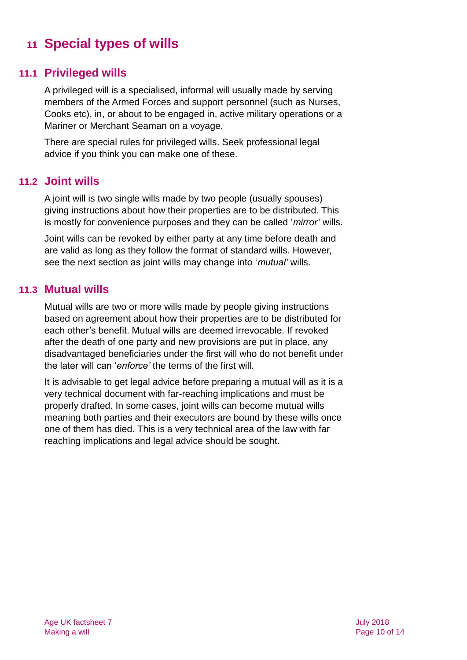# <span id="page-9-0"></span>**11 Special types of wills**

#### **11.1 Privileged wills**

A privileged will is a specialised, informal will usually made by serving members of the Armed Forces and support personnel (such as Nurses, Cooks etc), in, or about to be engaged in, active military operations or a Mariner or Merchant Seaman on a voyage.

There are special rules for privileged wills. Seek professional legal advice if you think you can make one of these.

#### **11.2 Joint wills**

A joint will is two single wills made by two people (usually spouses) giving instructions about how their properties are to be distributed. This is mostly for convenience purposes and they can be called '*mirror'* wills.

Joint wills can be revoked by either party at any time before death and are valid as long as they follow the format of standard wills. However, see the next section as joint wills may change into '*mutual'* wills.

#### **11.3 Mutual wills**

Mutual wills are two or more wills made by people giving instructions based on agreement about how their properties are to be distributed for each other's benefit. Mutual wills are deemed irrevocable. If revoked after the death of one party and new provisions are put in place, any disadvantaged beneficiaries under the first will who do not benefit under the later will can '*enforce'* the terms of the first will.

It is advisable to get legal advice before preparing a mutual will as it is a very technical document with far-reaching implications and must be properly drafted. In some cases, joint wills can become mutual wills meaning both parties and their executors are bound by these wills once one of them has died. This is a very technical area of the law with far reaching implications and legal advice should be sought.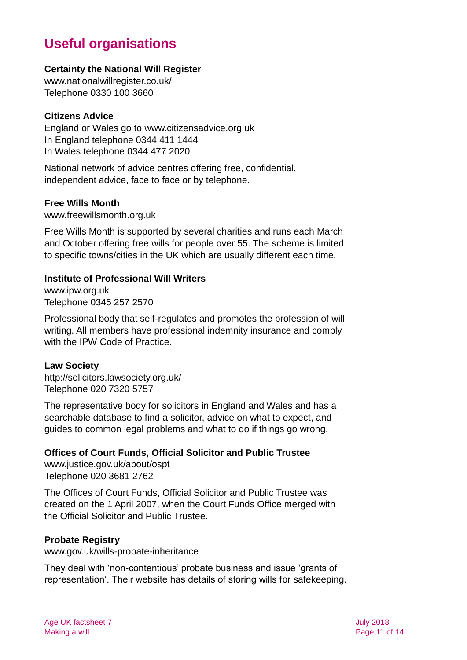# **Useful organisations**

#### <span id="page-10-0"></span>**Certainty the National Will Register**

[www.nationalwillregister.co.uk/](http://www.nationalwillregister.co.uk/) Telephone 0330 100 3660

#### **Citizens Advice**

England or Wales go to [www.citizensadvice.org.uk](http://www.citizensadvice.org.uk/) In England telephone 0344 411 1444 In Wales telephone 0344 477 2020

National network of advice centres offering free, confidential, independent advice, face to face or by telephone.

#### **Free Wills Month**

[www.freewillsmonth.org.uk](http://www.freewillsmonth.org.uk/)

Free Wills Month is supported by several charities and runs each March and October offering free wills for people over 55. The scheme is limited to specific towns/cities in the UK which are usually different each time.

#### **Institute of Professional Will Writers**

[www.ipw.org.uk](http://www.ipw.org.uk/) Telephone 0345 257 2570

Professional body that self-regulates and promotes the profession of will writing. All members have professional indemnity insurance and comply with the IPW Code of Practice.

#### **Law Society**

<http://solicitors.lawsociety.org.uk/> Telephone 020 7320 5757

The representative body for solicitors in England and Wales and has a searchable database to find a solicitor, advice on what to expect, and guides to common legal problems and what to do if things go wrong.

#### **Offices of Court Funds, Official Solicitor and Public Trustee**

[www.justice.gov.uk/about/ospt](http://www.justice.gov.uk/about/ospt) Telephone 020 3681 2762

The Offices of Court Funds, Official Solicitor and Public Trustee was created on the 1 April 2007, when the Court Funds Office merged with the Official Solicitor and Public Trustee.

#### **Probate Registry**

[www.gov.uk/wills-probate-inheritance](http://www.gov.uk/wills-probate-inheritance)

They deal with 'non-contentious' probate business and issue 'grants of representation'. Their website has details of storing wills for safekeeping.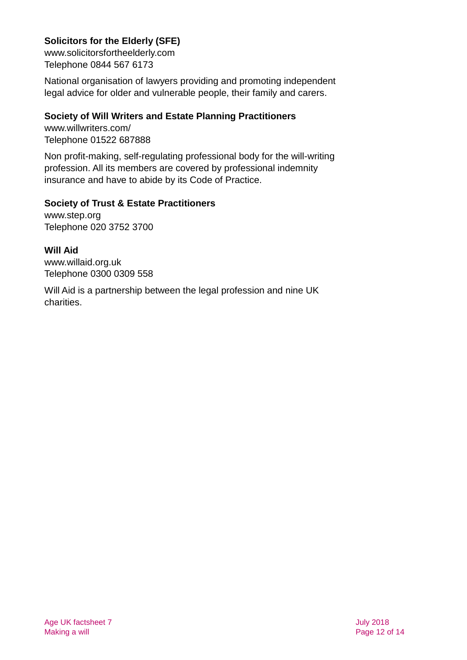#### **Solicitors for the Elderly (SFE)**

[www.solicitorsfortheelderly.com](http://www.solicitorsfortheelderly.com/) Telephone 0844 567 6173

National organisation of lawyers providing and promoting independent legal advice for older and vulnerable people, their family and carers.

#### **Society of Will Writers and Estate Planning Practitioners**

[www.willwriters.com/](http://www.willwriters.com/) Telephone 01522 687888

Non profit-making, self-regulating professional body for the will-writing profession. All its members are covered by professional indemnity insurance and have to abide by its Code of Practice.

#### **Society of Trust & Estate Practitioners**

[www.step.org](http://www.step.org/) Telephone 020 3752 3700

**Will Aid** [www.willaid.org.uk](http://www.willaid.org.uk/) Telephone 0300 0309 558

Will Aid is a partnership between the legal profession and nine UK charities.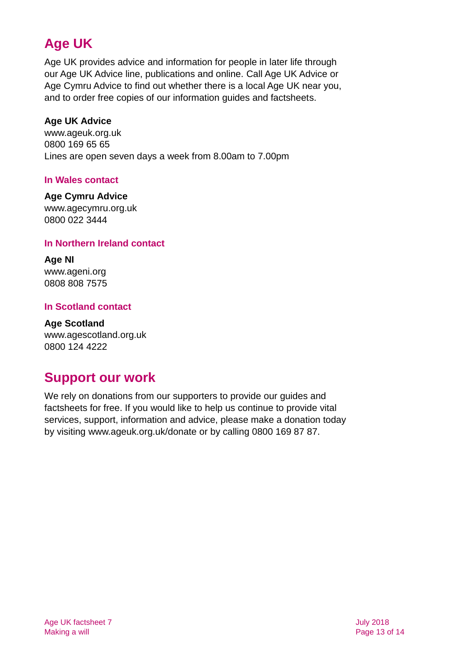# **Age UK**

Age UK provides advice and information for people in later life through our Age UK Advice line, publications and online. Call Age UK Advice or Age Cymru Advice to find out whether there is a local Age UK near you, and to order free copies of our information guides and factsheets.

#### <span id="page-12-2"></span>**Age UK Advice**

[www.ageuk.org.uk](http://www.ageuk.org.uk/) 0800 169 65 65 Lines are open seven days a week from 8.00am to 7.00pm

#### **In Wales contact**

#### **Age Cymru Advice**

[www.agecymru.org.uk](http://www.agecymru.org.uk/) 0800 022 3444

#### <span id="page-12-1"></span>**In Northern Ireland contact**

**Age NI** [www.ageni.org](http://www.ageni.org/) 0808 808 7575

#### <span id="page-12-0"></span>**In Scotland contact**

<span id="page-12-3"></span>**Age Scotland** [www.agescotland.org.uk](http://www.agescotland.org.uk/) 0800 124 4222

### **Support our work**

We rely on donations from our supporters to provide our guides and factsheets for free. If you would like to help us continue to provide vital services, support, information and advice, please make a donation today by visiting [www.ageuk.org.uk/donate](http://www.ageuk.org.uk/donate) or by calling 0800 169 87 87.